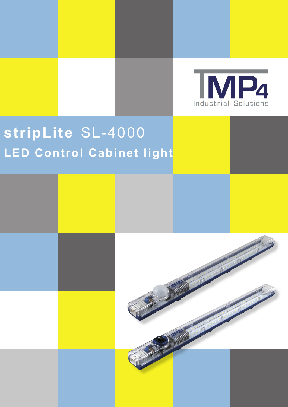

## **stripLite** SL-4000 **LED Control Cabinet light**

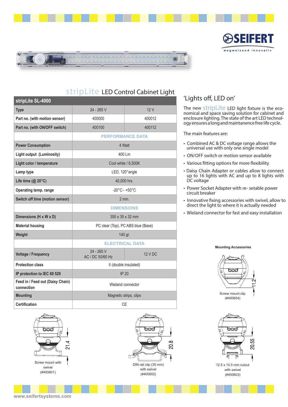



| stripLite SL-4000                              |                                    |         |
|------------------------------------------------|------------------------------------|---------|
| <b>Type</b>                                    | 24 - 265 V                         | 12V     |
| Part no. (with motion sensor)                  | 400000                             | 400012  |
| Part no. (with ON/OFF switch)                  | 400100                             | 400112  |
|                                                | <b>PERFORMANCE DATA</b>            |         |
| <b>Power Consumption</b>                       | 4 Watt                             |         |
| Light output (Luminosity)                      | 400 Lm                             |         |
| Light color / temperature                      | Cool white / 6,500K                |         |
| Lamp type                                      | LED, 120° angle                    |         |
| Life time $(@ 20°C)$                           | 40,000 hrs.                        |         |
| Operating temp. range                          | $-20^{\circ}$ C - +50 $^{\circ}$ C |         |
| Switch off time (motion sensor)                | $2$ min.                           |         |
|                                                | <b>DIMENSIONS</b>                  |         |
| Dimensions (H x W x D)                         | 350 x 35 x 32 mm                   |         |
| <b>Material housing</b>                        | PC clear (Top), PC ABS blue (Base) |         |
| Weight                                         | 140 gr.                            |         |
|                                                | <b>ELECTRICAL DATA</b>             |         |
| <b>Voltage / Frequency</b>                     | 24 - 265 V<br>AC / DC 50/60 Hz     | 12 V DC |
| <b>Protection class</b>                        | II (double insulated)              |         |
| IP protection to IEC 60 529                    | IP 20                              |         |
| Feed in / Feed out (Daisy Chain)<br>connection | Wieland connector                  |         |
| <b>Mounting</b>                                | Magnetic strips, clips             |         |
| <b>Certification</b>                           | <b>CE</b>                          |         |





## 'Lights off, LED on'

The new **stripLite** LED light fixture is the eco-<br>nomical and space saving solution for cabinet and enclosure lighting. The state of the art LED technol- ogy ensures a long and maintanence free life cycle.

33XT

EΠ

wegweisend innovativ

The main features are:

- Combined AC & DC voltage range allows the universal use with only one single model
- ON/OFF switch or motion sensor available
- Various fitting options for more flexibility
- Daisy Chain Adapter or cables allow to connect up to 16 lights with AC and up to 8 lights with DC voltage
- Power Socket Adapter with re- setable power circuit breaker
- Innovative fixing accessories with swivel, allow to direct the light to where it is actually needed
- Wieland connector for fast and easy installation

**Mounting Accessories**





12.5 x 10.5 mm cutout with swivel (#400603)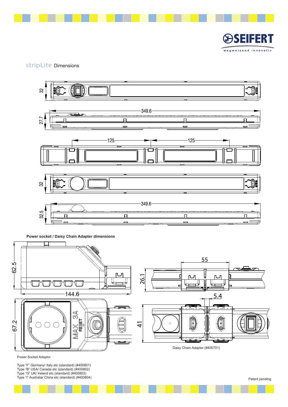

SEIFERT  $\mathbb{G}$ wegweisend innovativ

## stripLite Dimensions



**Power socket / Daisy Chain Adapter dimensions**



Power Socket Adaptor

Type "F" Germany/ Italy etc (standard) (#400801) Type "B" USA/ Canada etc (standard) (#400802) Type "G" UK/ Ireland etc (standard) (#400803) Type "I" Australia/ China etc (standard) (#400804) Patent pending